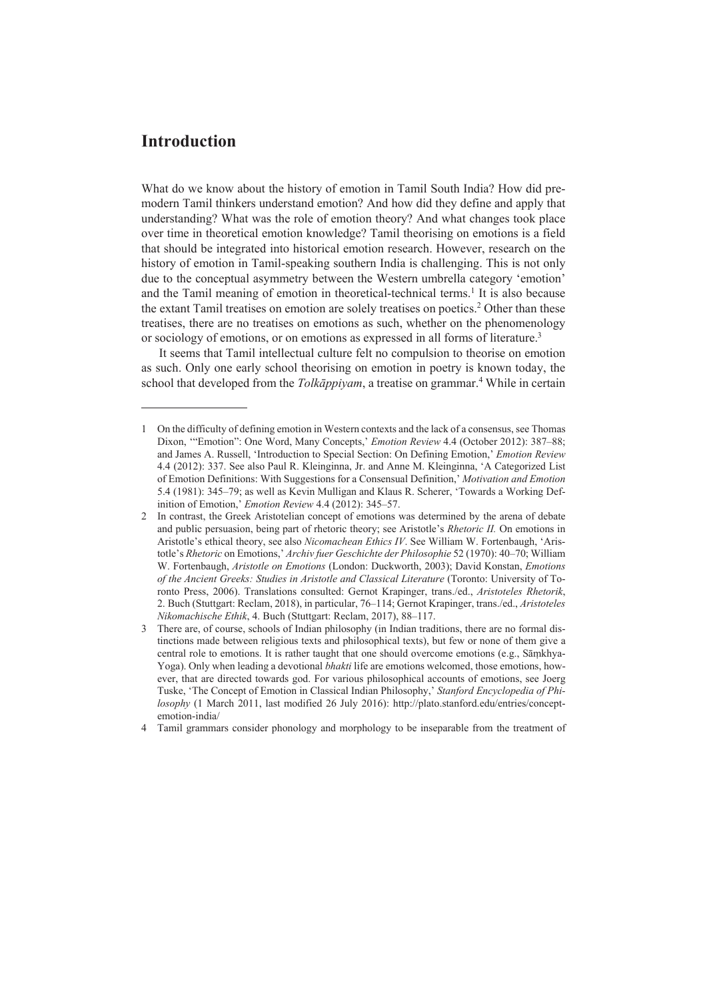What do we know about the history of emotion in Tamil South India? How did premodern Tamil thinkers understand emotion? And how did they define and apply that understanding? What was the role of emotion theory? And what changes took place over time in theoretical emotion knowledge? Tamil theorising on emotions is a field that should be integrated into historical emotion research. However, research on the history of emotion in Tamil-speaking southern India is challenging. This is not only due to the conceptual asymmetry between the Western umbrella category 'emotion' and the Tamil meaning of emotion in theoretical-technical terms.<sup>1</sup> It is also because the extant Tamil treatises on emotion are solely treatises on poetics.<sup>2</sup> Other than these treatises, there are no treatises on emotions as such, whether on the phenomenology or sociology of emotions, or on emotions as expressed in all forms of literature.<sup>3</sup>

It seems that Tamil intellectual culture felt no compulsion to theorise on emotion as such. Only one early school theorising on emotion in poetry is known today, the school that developed from the *Tolkāppiyam*, a treatise on grammar.4 While in certain

<sup>1</sup> On the difficulty of defining emotion in Western contexts and the lack of a consensus, see Thomas Dixon, "Emotion": One Word, Many Concepts,' *Emotion Review* 4.4 (October 2012): 387–88; and James A. Russell, 'Introduction to Special Section: On Defining Emotion,' *Emotion Review* 4.4 (2012): 337. See also Paul R. Kleinginna, Jr. and Anne M. Kleinginna, 'A Categorized List of Emotion Definitions: With Suggestions for a Consensual Definition,' *Motivation and Emotion* 5.4 (1981): 345‒79; as well as Kevin Mulligan and Klaus R. Scherer, 'Towards a Working Definition of Emotion,' *Emotion Review* 4.4 (2012): 345–57.

<sup>2</sup> In contrast, the Greek Aristotelian concept of emotions was determined by the arena of debate and public persuasion, being part of rhetoric theory; see Aristotle's *Rhetoric II.* On emotions in Aristotle's ethical theory, see also *Nicomachean Ethics IV*. See William W. Fortenbaugh, 'Aristotle's *Rhetoric* on Emotions,' *Archiv fuer Geschichte der Philosophie* 52 (1970): 40‒70; William W. Fortenbaugh, *Aristotle on Emotions* (London: Duckworth, 2003); David Konstan, *Emotions of the Ancient Greeks: Studies in Aristotle and Classical Literature* (Toronto: University of Toronto Press, 2006). Translations consulted: Gernot Krapinger, trans./ed., *Aristoteles Rhetorik*, 2. Buch (Stuttgart: Reclam, 2018), in particular, 76‒114; Gernot Krapinger, trans./ed., *Aristoteles Nikomachische Ethik*, 4. Buch (Stuttgart: Reclam, 2017), 88‒117.

<sup>3</sup> There are, of course, schools of Indian philosophy (in Indian traditions, there are no formal distinctions made between religious texts and philosophical texts), but few or none of them give a central role to emotions. It is rather taught that one should overcome emotions (e.g., Sāṃkhya-Yoga). Only when leading a devotional *bhakti* life are emotions welcomed, those emotions, however, that are directed towards god. For various philosophical accounts of emotions, see Joerg Tuske, 'The Concept of Emotion in Classical Indian Philosophy,' *Stanford Encyclopedia of Philosophy* (1 March 2011, last modified 26 July 2016): http://plato.stanford.edu/entries/conceptemotion-india/

<sup>4</sup> Tamil grammars consider phonology and morphology to be inseparable from the treatment of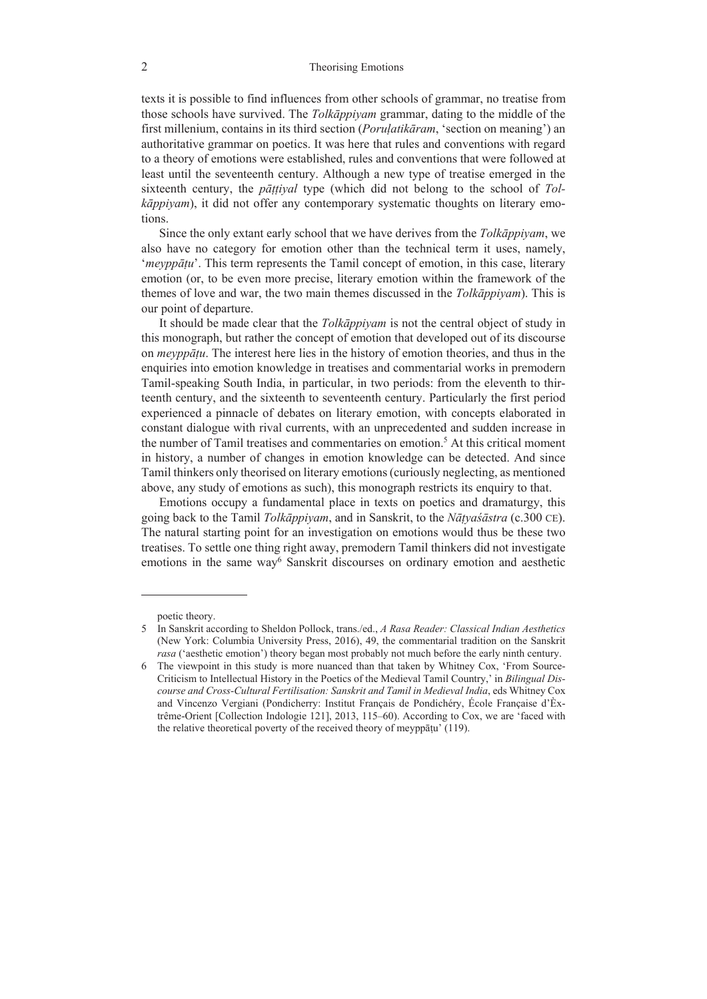## 2 Theorising Emotions

texts it is possible to find influences from other schools of grammar, no treatise from those schools have survived. The *Tolkāppiyam* grammar, dating to the middle of the first millenium, contains in its third section (*Poruḷatikāram*, 'section on meaning') an authoritative grammar on poetics. It was here that rules and conventions with regard to a theory of emotions were established, rules and conventions that were followed at least until the seventeenth century. Although a new type of treatise emerged in the sixteenth century, the *pāṭṭiyal* type (which did not belong to the school of *Tolkāppiyam*), it did not offer any contemporary systematic thoughts on literary emotions.

Since the only extant early school that we have derives from the *Tolkāppiyam*, we also have no category for emotion other than the technical term it uses, namely, '*meyppāṭu*'. This term represents the Tamil concept of emotion, in this case, literary emotion (or, to be even more precise, literary emotion within the framework of the themes of love and war, the two main themes discussed in the *Tolkāppiyam*). This is our point of departure.

It should be made clear that the *Tolkāppiyam* is not the central object of study in this monograph, but rather the concept of emotion that developed out of its discourse on *meyppāṭu*. The interest here lies in the history of emotion theories, and thus in the enquiries into emotion knowledge in treatises and commentarial works in premodern Tamil-speaking South India, in particular, in two periods: from the eleventh to thirteenth century, and the sixteenth to seventeenth century. Particularly the first period experienced a pinnacle of debates on literary emotion, with concepts elaborated in constant dialogue with rival currents, with an unprecedented and sudden increase in the number of Tamil treatises and commentaries on emotion.<sup>5</sup> At this critical moment in history, a number of changes in emotion knowledge can be detected. And since Tamil thinkers only theorised on literary emotions (curiously neglecting, as mentioned above, any study of emotions as such), this monograph restricts its enquiry to that.

Emotions occupy a fundamental place in texts on poetics and dramaturgy, this going back to the Tamil *Tolkāppiyam*, and in Sanskrit, to the *Nāṭyaśāstra* (c.300 CE). The natural starting point for an investigation on emotions would thus be these two treatises. To settle one thing right away, premodern Tamil thinkers did not investigate emotions in the same way<sup>6</sup> Sanskrit discourses on ordinary emotion and aesthetic

poetic theory.

<sup>5</sup> In Sanskrit according to Sheldon Pollock, trans./ed., *A Rasa Reader: Classical Indian Aesthetics* (New York: Columbia University Press, 2016), 49, the commentarial tradition on the Sanskrit *rasa* ('aesthetic emotion') theory began most probably not much before the early ninth century.

<sup>6</sup> The viewpoint in this study is more nuanced than that taken by Whitney Cox, 'From Source-Criticism to Intellectual History in the Poetics of the Medieval Tamil Country,' in *Bilingual Discourse and Cross-Cultural Fertilisation: Sanskrit and Tamil in Medieval India*, eds Whitney Cox and Vincenzo Vergiani (Pondicherry: Institut Français de Pondichéry, École Française d'Èxtrême-Orient [Collection Indologie 121], 2013, 115–60). According to Cox, we are 'faced with the relative theoretical poverty of the received theory of meyppāṭu' (119).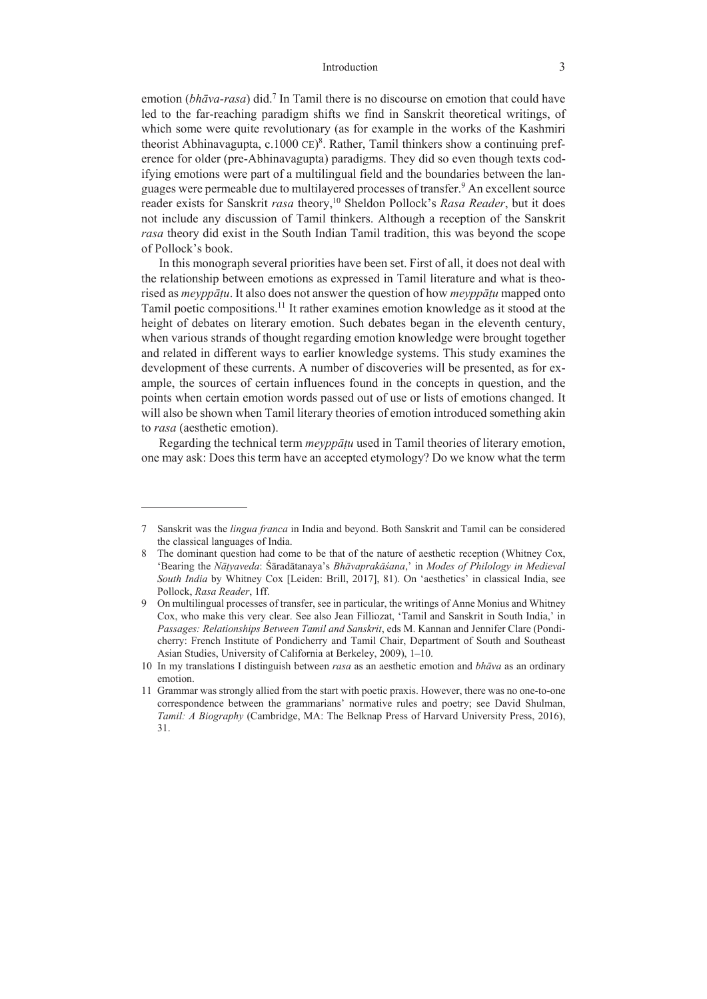emotion (*bhāva-rasa*) did.<sup>7</sup> In Tamil there is no discourse on emotion that could have led to the far-reaching paradigm shifts we find in Sanskrit theoretical writings, of which some were quite revolutionary (as for example in the works of the Kashmiri theorist Abhinavagupta, c.1000 CE)<sup>8</sup>. Rather, Tamil thinkers show a continuing preference for older (pre-Abhinavagupta) paradigms. They did so even though texts codifying emotions were part of a multilingual field and the boundaries between the languages were permeable due to multilayered processes of transfer.<sup>9</sup> An excellent source reader exists for Sanskrit *rasa* theory,10 Sheldon Pollock's *Rasa Reader*, but it does not include any discussion of Tamil thinkers. Although a reception of the Sanskrit *rasa* theory did exist in the South Indian Tamil tradition, this was beyond the scope of Pollock's book.

In this monograph several priorities have been set. First of all, it does not deal with the relationship between emotions as expressed in Tamil literature and what is theorised as *meyppāṭu*. It also does not answer the question of how *meyppāṭu* mapped onto Tamil poetic compositions.11 It rather examines emotion knowledge as it stood at the height of debates on literary emotion. Such debates began in the eleventh century, when various strands of thought regarding emotion knowledge were brought together and related in different ways to earlier knowledge systems. This study examines the development of these currents. A number of discoveries will be presented, as for example, the sources of certain influences found in the concepts in question, and the points when certain emotion words passed out of use or lists of emotions changed. It will also be shown when Tamil literary theories of emotion introduced something akin to *rasa* (aesthetic emotion).

Regarding the technical term *meyppāṭu* used in Tamil theories of literary emotion, one may ask: Does this term have an accepted etymology? Do we know what the term

<sup>7</sup> Sanskrit was the *lingua franca* in India and beyond. Both Sanskrit and Tamil can be considered the classical languages of India.

<sup>8</sup> The dominant question had come to be that of the nature of aesthetic reception (Whitney Cox, 'Bearing the *Nāṭyaveda*: Śāradātanaya's *Bhāvaprakāśana*,' in *Modes of Philology in Medieval South India* by Whitney Cox [Leiden: Brill, 2017], 81). On 'aesthetics' in classical India, see Pollock, *Rasa Reader*, 1ff.

<sup>9</sup> On multilingual processes of transfer, see in particular, the writings of Anne Monius and Whitney Cox, who make this very clear. See also Jean Filliozat, 'Tamil and Sanskrit in South India,' in *Passages: Relationships Between Tamil and Sanskrit*, eds M. Kannan and Jennifer Clare (Pondicherry: French Institute of Pondicherry and Tamil Chair, Department of South and Southeast Asian Studies, University of California at Berkeley, 2009), 1–10.

<sup>10</sup> In my translations I distinguish between *rasa* as an aesthetic emotion and *bhāva* as an ordinary emotion.

<sup>11</sup> Grammar was strongly allied from the start with poetic praxis. However, there was no one-to-one correspondence between the grammarians' normative rules and poetry; see David Shulman, *Tamil: A Biography* (Cambridge, MA: The Belknap Press of Harvard University Press, 2016), 31.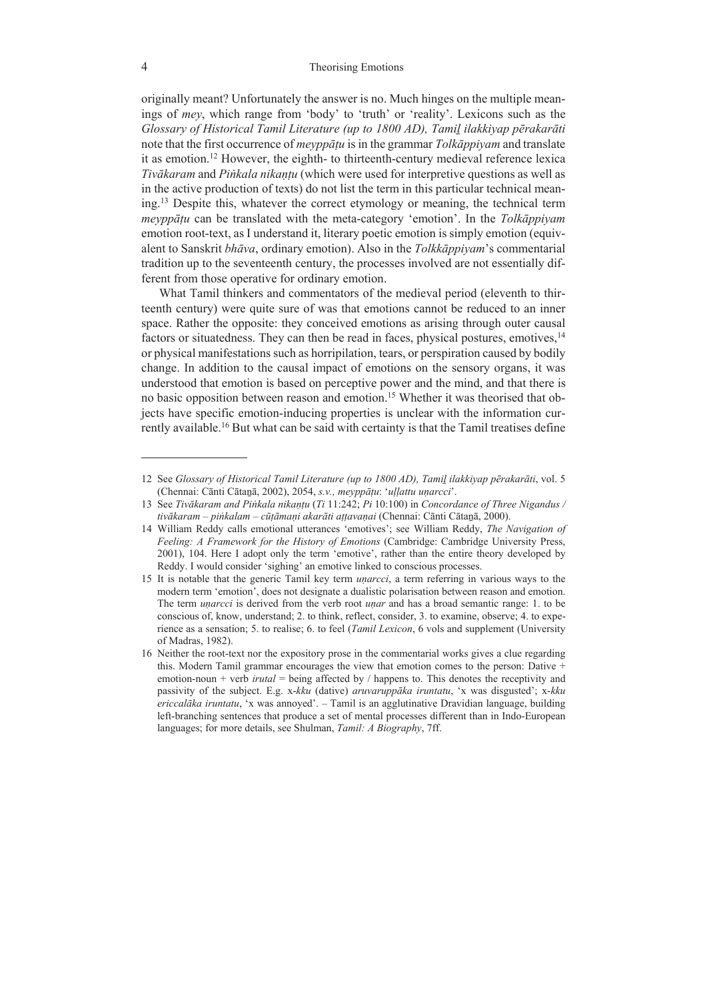originally meant? Unfortunately the answer is no. Much hinges on the multiple meanings of *mey*, which range from 'body' to 'truth' or 'reality'. Lexicons such as the *Glossary of Historical Tamil Literature (up to 1800 AD), Tamiḻ ilakkiyap pērakarāti* note that the first occurrence of *meyppāṭu* is in the grammar *Tolkāppiyam* and translate it as emotion.12 However, the eighth- to thirteenth-century medieval reference lexica *Tivākaram* and *Piṅkala nikaṇṭu* (which were used for interpretive questions as well as in the active production of texts) do not list the term in this particular technical meaning.13 Despite this, whatever the correct etymology or meaning, the technical term *meyppāṭu* can be translated with the meta-category 'emotion'. In the *Tolkāppiyam* emotion root-text, as I understand it, literary poetic emotion is simply emotion (equivalent to Sanskrit *bhāva*, ordinary emotion). Also in the *Tolkkāppiyam*'s commentarial tradition up to the seventeenth century, the processes involved are not essentially different from those operative for ordinary emotion.

What Tamil thinkers and commentators of the medieval period (eleventh to thirteenth century) were quite sure of was that emotions cannot be reduced to an inner space. Rather the opposite: they conceived emotions as arising through outer causal factors or situatedness. They can then be read in faces, physical postures, emotives,  $14$ or physical manifestations such as horripilation, tears, or perspiration caused by bodily change. In addition to the causal impact of emotions on the sensory organs, it was understood that emotion is based on perceptive power and the mind, and that there is no basic opposition between reason and emotion.15 Whether it was theorised that objects have specific emotion-inducing properties is unclear with the information currently available.16 But what can be said with certainty is that the Tamil treatises define

<sup>12</sup> See *Glossary of Historical Tamil Literature (up to 1800 AD), Tamiḻ ilakkiyap pērakarāti*, vol. 5 (Chennai: Cānti Cātaṉā, 2002), 2054, *s.v., meyppāṭu*: '*uḷḷattu uṇarcci*'.

<sup>13</sup> See *Tivākaram and Piṅkala nikaṇṭu* (*Ti* 11:242; *Pi* 10:100) in *Concordance of Three Nigandus / tivākaram – piṅkalam – cūṭāmaṇi akarāti aṭṭavaṇai* (Chennai: Cānti Cātaṉā, 2000).

<sup>14</sup> William Reddy calls emotional utterances 'emotives'; see William Reddy, *The Navigation of Feeling: A Framework for the History of Emotions* (Cambridge: Cambridge University Press, 2001), 104. Here I adopt only the term 'emotive', rather than the entire theory developed by Reddy. I would consider 'sighing' an emotive linked to conscious processes.

<sup>15</sup> It is notable that the generic Tamil key term *uṇarcci*, a term referring in various ways to the modern term 'emotion', does not designate a dualistic polarisation between reason and emotion. The term *uṇarcci* is derived from the verb root *uṇar* and has a broad semantic range: 1. to be conscious of, know, understand; 2. to think, reflect, consider, 3. to examine, observe; 4. to experience as a sensation; 5. to realise; 6. to feel (*Tamil Lexicon*, 6 vols and supplement (University of Madras, 1982).

<sup>16</sup> Neither the root-text nor the expository prose in the commentarial works gives a clue regarding this. Modern Tamil grammar encourages the view that emotion comes to the person: Dative + emotion-noun + verb *irutal* = being affected by / happens to. This denotes the receptivity and passivity of the subject. E.g. x-*kku* (dative) *aruvaruppāka iruntatu*, 'x was disgusted'; x-*kku ericcalāka iruntatu*, 'x was annoyed'. – Tamil is an agglutinative Dravidian language, building left-branching sentences that produce a set of mental processes different than in Indo-European languages; for more details, see Shulman, *Tamil: A Biography*, 7ff.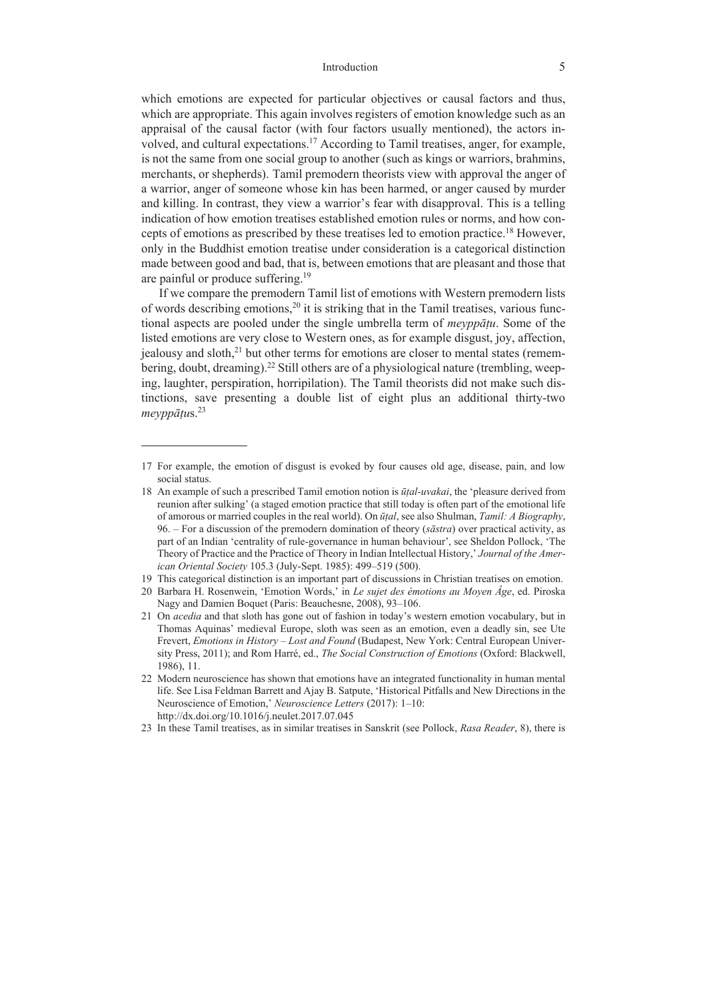which emotions are expected for particular objectives or causal factors and thus, which are appropriate. This again involves registers of emotion knowledge such as an appraisal of the causal factor (with four factors usually mentioned), the actors involved, and cultural expectations.<sup>17</sup> According to Tamil treatises, anger, for example, is not the same from one social group to another (such as kings or warriors, brahmins, merchants, or shepherds). Tamil premodern theorists view with approval the anger of a warrior, anger of someone whose kin has been harmed, or anger caused by murder and killing. In contrast, they view a warrior's fear with disapproval. This is a telling indication of how emotion treatises established emotion rules or norms, and how concepts of emotions as prescribed by these treatises led to emotion practice.18 However, only in the Buddhist emotion treatise under consideration is a categorical distinction made between good and bad, that is, between emotions that are pleasant and those that are painful or produce suffering.<sup>19</sup>

If we compare the premodern Tamil list of emotions with Western premodern lists of words describing emotions,<sup>20</sup> it is striking that in the Tamil treatises, various functional aspects are pooled under the single umbrella term of *meyppāṭu*. Some of the listed emotions are very close to Western ones, as for example disgust, joy, affection, jealousy and sloth,<sup>21</sup> but other terms for emotions are closer to mental states (remembering, doubt, dreaming).<sup>22</sup> Still others are of a physiological nature (trembling, weeping, laughter, perspiration, horripilation). The Tamil theorists did not make such distinctions, save presenting a double list of eight plus an additional thirty-two *meyppāṭu*s.23

19 This categorical distinction is an important part of discussions in Christian treatises on emotion.

<sup>17</sup> For example, the emotion of disgust is evoked by four causes old age, disease, pain, and low social status.

<sup>18</sup> An example of such a prescribed Tamil emotion notion is *ūṭal-uvakai*, the 'pleasure derived from reunion after sulking' (a staged emotion practice that still today is often part of the emotional life of amorous or married couples in the real world). On *ūṭal*, see also Shulman, *Tamil: A Biography*, 96. – For a discussion of the premodern domination of theory (*sāstra*) over practical activity, as part of an Indian 'centrality of rule-governance in human behaviour', see Sheldon Pollock, 'The Theory of Practice and the Practice of Theory in Indian Intellectual History,' *Journal of the American Oriental Society* 105.3 (July-Sept. 1985): 499–519 (500).

<sup>20</sup> Barbara H. Rosenwein, 'Emotion Words,' in *Le sujet des émotions au Moyen Âge*, ed. Piroska Nagy and Damien Boquet (Paris: Beauchesne, 2008), 93–106.

<sup>21</sup> On *acedia* and that sloth has gone out of fashion in today's western emotion vocabulary, but in Thomas Aquinas' medieval Europe, sloth was seen as an emotion, even a deadly sin, see Ute Frevert, *Emotions in History – Lost and Found* (Budapest, New York: Central European University Press, 2011); and Rom Harré, ed., *The Social Construction of Emotions* (Oxford: Blackwell, 1986), 11.

<sup>22</sup> Modern neuroscience has shown that emotions have an integrated functionality in human mental life. See Lisa Feldman Barrett and Ajay B. Satpute, 'Historical Pitfalls and New Directions in the Neuroscience of Emotion,' *Neuroscience Letters* (2017): 1–10: http://dx.doi.org/10.1016/j.neulet.2017.07.045

<sup>23</sup> In these Tamil treatises, as in similar treatises in Sanskrit (see Pollock, *Rasa Reader*, 8), there is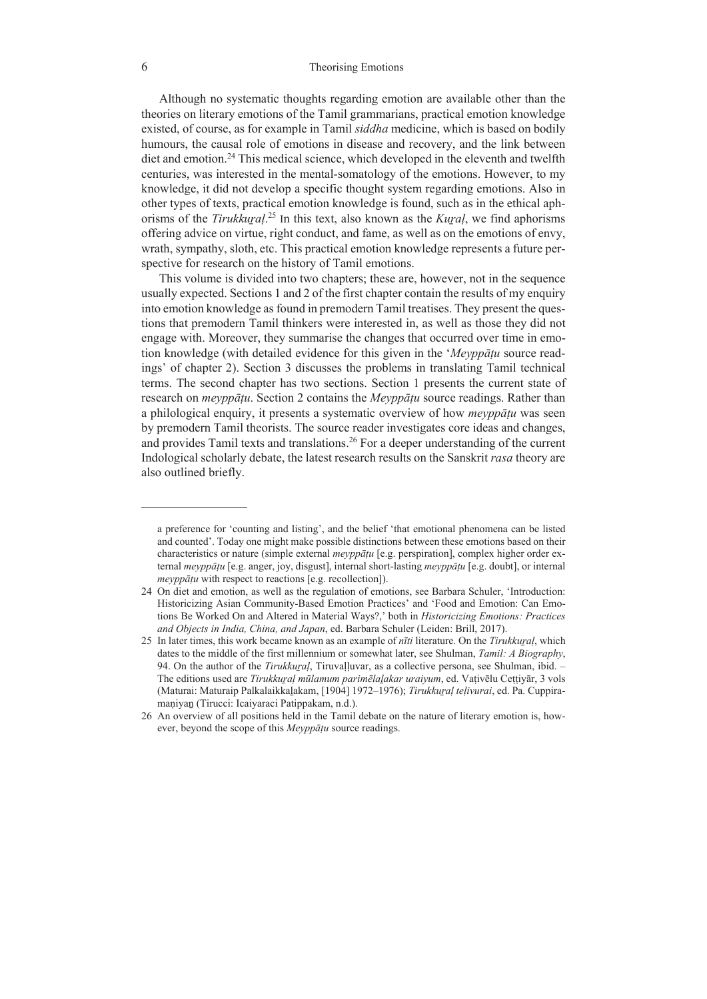## 6 Theorising Emotions

Although no systematic thoughts regarding emotion are available other than the theories on literary emotions of the Tamil grammarians, practical emotion knowledge existed, of course, as for example in Tamil *siddha* medicine, which is based on bodily humours, the causal role of emotions in disease and recovery, and the link between diet and emotion.24 This medical science, which developed in the eleventh and twelfth centuries, was interested in the mental-somatology of the emotions. However, to my knowledge, it did not develop a specific thought system regarding emotions. Also in other types of texts, practical emotion knowledge is found, such as in the ethical aphorisms of the *Tirukkuṟaḷ*. <sup>25</sup> In this text, also known as the *Kuṟaḷ*, we find aphorisms offering advice on virtue, right conduct, and fame, as well as on the emotions of envy, wrath, sympathy, sloth, etc. This practical emotion knowledge represents a future perspective for research on the history of Tamil emotions.

This volume is divided into two chapters; these are, however, not in the sequence usually expected. Sections 1 and 2 of the first chapter contain the results of my enquiry into emotion knowledge as found in premodern Tamil treatises. They present the questions that premodern Tamil thinkers were interested in, as well as those they did not engage with. Moreover, they summarise the changes that occurred over time in emotion knowledge (with detailed evidence for this given in the '*Meyppāṭu* source readings' of chapter 2). Section 3 discusses the problems in translating Tamil technical terms. The second chapter has two sections. Section 1 presents the current state of research on *meyppāṭu*. Section 2 contains the *Meyppāṭu* source readings. Rather than a philological enquiry, it presents a systematic overview of how *meyppāṭu* was seen by premodern Tamil theorists. The source reader investigates core ideas and changes, and provides Tamil texts and translations.<sup>26</sup> For a deeper understanding of the current Indological scholarly debate, the latest research results on the Sanskrit *rasa* theory are also outlined briefly.

a preference for 'counting and listing', and the belief 'that emotional phenomena can be listed and counted'. Today one might make possible distinctions between these emotions based on their characteristics or nature (simple external *meyppāṭu* [e.g. perspiration], complex higher order external *meyppāṭu* [e.g. anger, joy, disgust], internal short-lasting *meyppāṭu* [e.g. doubt], or internal *meyppāṭu* with respect to reactions [e.g. recollection]).

<sup>24</sup> On diet and emotion, as well as the regulation of emotions, see Barbara Schuler, 'Introduction: Historicizing Asian Community-Based Emotion Practices' and 'Food and Emotion: Can Emotions Be Worked On and Altered in Material Ways?,' both in *Historicizing Emotions: Practices and Objects in India, China, and Japan*, ed. Barbara Schuler (Leiden: Brill, 2017).

<sup>25</sup> In later times, this work became known as an example of *nīti* literature. On the *Tirukkuṟaḷ*, which dates to the middle of the first millennium or somewhat later, see Shulman, *Tamil: A Biography*, 94. On the author of the *Tirukkural*, Tiruvalluvar, as a collective persona, see Shulman, ibid. -The editions used are *Tirukkuṟaḷ mūlamum parimēlaḻakar uraiyum*, ed. Vaṭivēlu Ceṭṭiyār, 3 vols (Maturai: Maturaip Palkalaikkaḻakam, [1904] 1972–1976); *Tirukkuṟaḷ teḷivurai*, ed. Pa. Cuppiramaṇiyaṉ (Tirucci: Icaiyaraci Patippakam, n.d.).

<sup>26</sup> An overview of all positions held in the Tamil debate on the nature of literary emotion is, however, beyond the scope of this *Meyppāṭu* source readings.